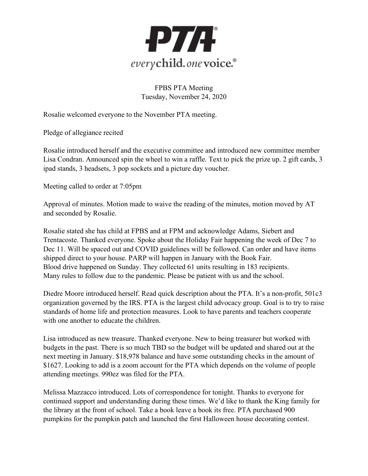

FPBS PTA Meeting Tuesday, November 24, 2020

Rosalie welcomed everyone to the November PTA meeting.

Pledge of allegiance recited

Rosalie introduced herself and the executive committee and introduced new committee member Lisa Condran. Announced spin the wheel to win a raffle. Text to pick the prize up. 2 gift cards, 3 ipad stands, 3 headsets, 3 pop sockets and a picture day voucher.

Meeting called to order at 7:05pm

Approval of minutes. Motion made to waive the reading of the minutes, motion moved by AT and seconded by Rosalie.

Rosalie stated she has child at FPBS and at FPM and acknowledge Adams, Siebert and Trentacoste. Thanked everyone. Spoke about the Holiday Fair happening the week of Dec 7 to Dec 11. Will be spaced out and COVID guidelines will be followed. Can order and have items shipped direct to your house. PARP will happen in January with the Book Fair. Blood drive happened on Sunday. They collected 61 units resulting in 183 recipients. Many rules to follow due to the pandemic. Please be patient with us and the school.

Diedre Moore introduced herself. Read quick description about the PTA. It's a non-profit, 501c3 organization governed by the IRS. PTA is the largest child advocacy group. Goal is to try to raise standards of home life and protection measures. Look to have parents and teachers cooperate with one another to educate the children.

Lisa introduced as new treasure. Thanked everyone. New to being treasurer but worked with budgets in the past. There is so much TBD so the budget will be updated and shared out at the next meeting in January. \$18,978 balance and have some outstanding checks in the amount of \$1627. Looking to add is a zoom account for the PTA which depends on the volume of people attending meetings. 990ez was filed for the PTA.

Melissa Mazzacco introduced. Lots of correspondence for tonight. Thanks to everyone for continued support and understanding during these times. We'd like to thank the King family for the library at the front of school. Take a book leave a book its free. PTA purchased 900 pumpkins for the pumpkin patch and launched the first Halloween house decorating contest.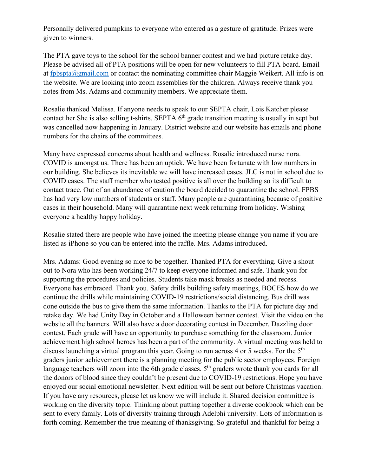Personally delivered pumpkins to everyone who entered as a gesture of gratitude. Prizes were given to winners.

The PTA gave toys to the school for the school banner contest and we had picture retake day. Please be advised all of PTA positions will be open for new volunteers to fill PTA board. Email at [fpbspta@gmail.com](mailto:fpbspta@gmail.com) or contact the nominating committee chair Maggie Weikert. All info is on the website. We are looking into zoom assemblies for the children. Always receive thank you notes from Ms. Adams and community members. We appreciate them.

Rosalie thanked Melissa. If anyone needs to speak to our SEPTA chair, Lois Katcher please contact her She is also selling t-shirts. SEPTA 6<sup>th</sup> grade transition meeting is usually in sept but was cancelled now happening in January. District website and our website has emails and phone numbers for the chairs of the committees.

Many have expressed concerns about health and wellness. Rosalie introduced nurse nora. COVID is amongst us. There has been an uptick. We have been fortunate with low numbers in our building. She believes its inevitable we will have increased cases. JLC is not in school due to COVID cases. The staff member who tested positive is all over the building so its difficult to contact trace. Out of an abundance of caution the board decided to quarantine the school. FPBS has had very low numbers of students or staff. Many people are quarantining because of positive cases in their household. Many will quarantine next week returning from holiday. Wishing everyone a healthy happy holiday.

Rosalie stated there are people who have joined the meeting please change you name if you are listed as iPhone so you can be entered into the raffle. Mrs. Adams introduced.

Mrs. Adams: Good evening so nice to be together. Thanked PTA for everything. Give a shout out to Nora who has been working 24/7 to keep everyone informed and safe. Thank you for supporting the procedures and policies. Students take mask breaks as needed and recess. Everyone has embraced. Thank you. Safety drills building safety meetings, BOCES how do we continue the drills while maintaining COVID-19 restrictions/social distancing. Bus drill was done outside the bus to give them the same information. Thanks to the PTA for picture day and retake day. We had Unity Day in October and a Halloween banner contest. Visit the video on the website all the banners. Will also have a door decorating contest in December. Dazzling door contest. Each grade will have an opportunity to purchase something for the classroom. Junior achievement high school heroes has been a part of the community. A virtual meeting was held to discuss launching a virtual program this year. Going to run across 4 or 5 weeks. For the 5<sup>th</sup> graders junior achievement there is a planning meeting for the public sector employees. Foreign language teachers will zoom into the 6th grade classes.  $5<sup>th</sup>$  graders wrote thank you cards for all the donors of blood since they couldn't be present due to COVID-19 restrictions. Hope you have enjoyed our social emotional newsletter. Next edition will be sent out before Christmas vacation. If you have any resources, please let us know we will include it. Shared decision committee is working on the diversity topic. Thinking about putting together a diverse cookbook which can be sent to every family. Lots of diversity training through Adelphi university. Lots of information is forth coming. Remember the true meaning of thanksgiving. So grateful and thankful for being a